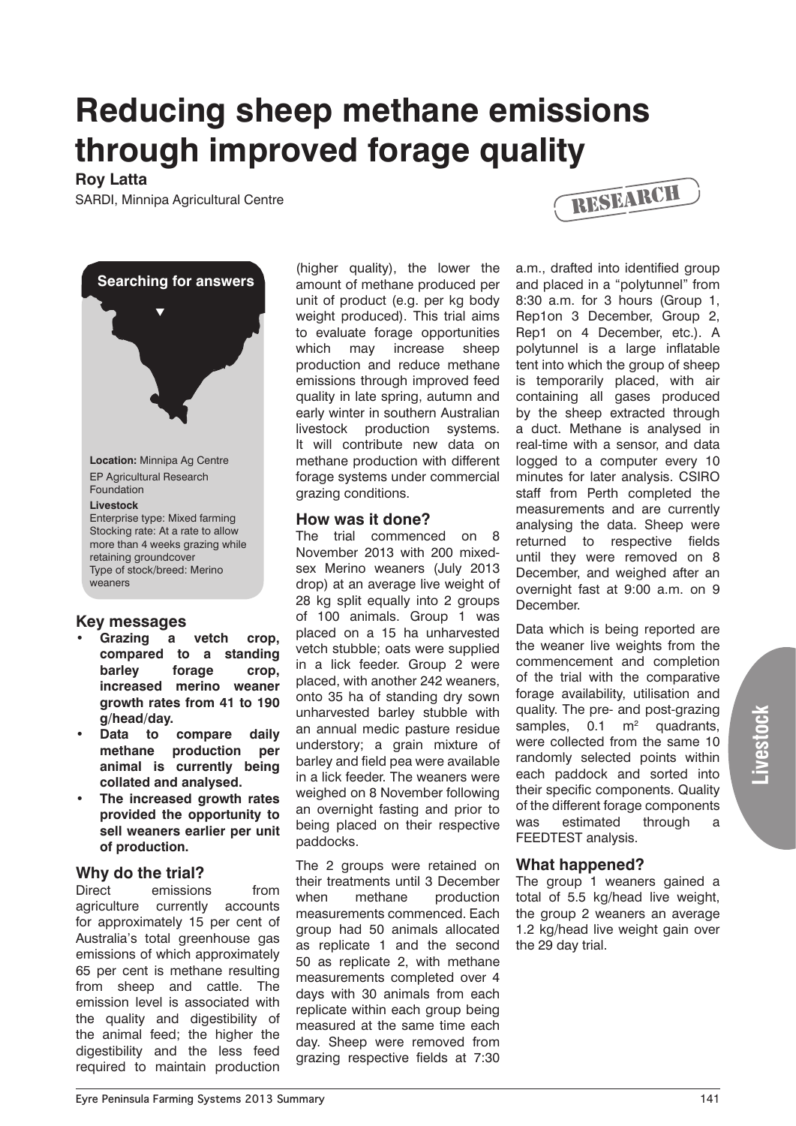# **Reducing sheep methane emissions through improved forage quality**

## **Roy Latta**

SARDI, Minnipa Agricultural Centre



- **Key messages Grazing a vetch crop. compared to a standing barley forage crop, increased merino weaner**
- **growth rates from 41 to 190 g/head/day. Data to compare daily methane production per animal is currently being**
- **collated and analysed. The increased growth rates provided the opportunity to sell weaners earlier per unit of production.**

# **Why do the trial?**

Direct emissions from agriculture currently accounts for approximately 15 per cent of Australia's total greenhouse gas emissions of which approximately 65 per cent is methane resulting from sheep and cattle. The emission level is associated with the quality and digestibility of the animal feed; the higher the digestibility and the less feed required to maintain production

(higher quality), the lower the amount of methane produced per unit of product (e.g. per kg body weight produced). This trial aims to evaluate forage opportunities which may increase sheep production and reduce methane emissions through improved feed quality in late spring, autumn and early winter in southern Australian livestock production systems. It will contribute new data on methane production with different forage systems under commercial grazing conditions.

#### **How was it done?**

The trial commenced on 8 November 2013 with 200 mixedsex Merino weaners (July 2013 drop) at an average live weight of 28 kg split equally into 2 groups of 100 animals. Group 1 was placed on a 15 ha unharvested vetch stubble; oats were supplied in a lick feeder. Group 2 were placed, with another 242 weaners, onto 35 ha of standing dry sown unharvested barley stubble with an annual medic pasture residue understory; a grain mixture of barley and field pea were available in a lick feeder. The weaners were weighed on 8 November following an overnight fasting and prior to being placed on their respective paddocks.

The 2 groups were retained on their treatments until 3 December when methane production measurements commenced. Each group had 50 animals allocated as replicate 1 and the second 50 as replicate 2, with methane measurements completed over 4 days with 30 animals from each replicate within each group being measured at the same time each day. Sheep were removed from grazing respective fields at 7:30



a.m., drafted into identified group and placed in a "polytunnel" from 8:30 a.m. for 3 hours (Group 1, Rep1on 3 December, Group 2, Rep1 on 4 December, etc.). A polytunnel is a large inflatable tent into which the group of sheep is temporarily placed, with air containing all gases produced by the sheep extracted through a duct. Methane is analysed in real-time with a sensor, and data logged to a computer every 10 minutes for later analysis. CSIRO staff from Perth completed the measurements and are currently analysing the data. Sheep were returned to respective fields until they were removed on 8 December, and weighed after an overnight fast at 9:00 a.m. on 9 December.

Data which is being reported are the weaner live weights from the commencement and completion of the trial with the comparative forage availability, utilisation and quality. The pre- and post-grazing samples,  $0.1 \text{ m}^2$  quadrants, were collected from the same 10 randomly selected points within each paddock and sorted into their specific components. Quality of the different forage components was estimated through a FEEDTEST analysis.

### **What happened?**

The group 1 weaners gained a total of 5.5 kg/head live weight, the group 2 weaners an average 1.2 kg/head live weight gain over the 29 day trial.